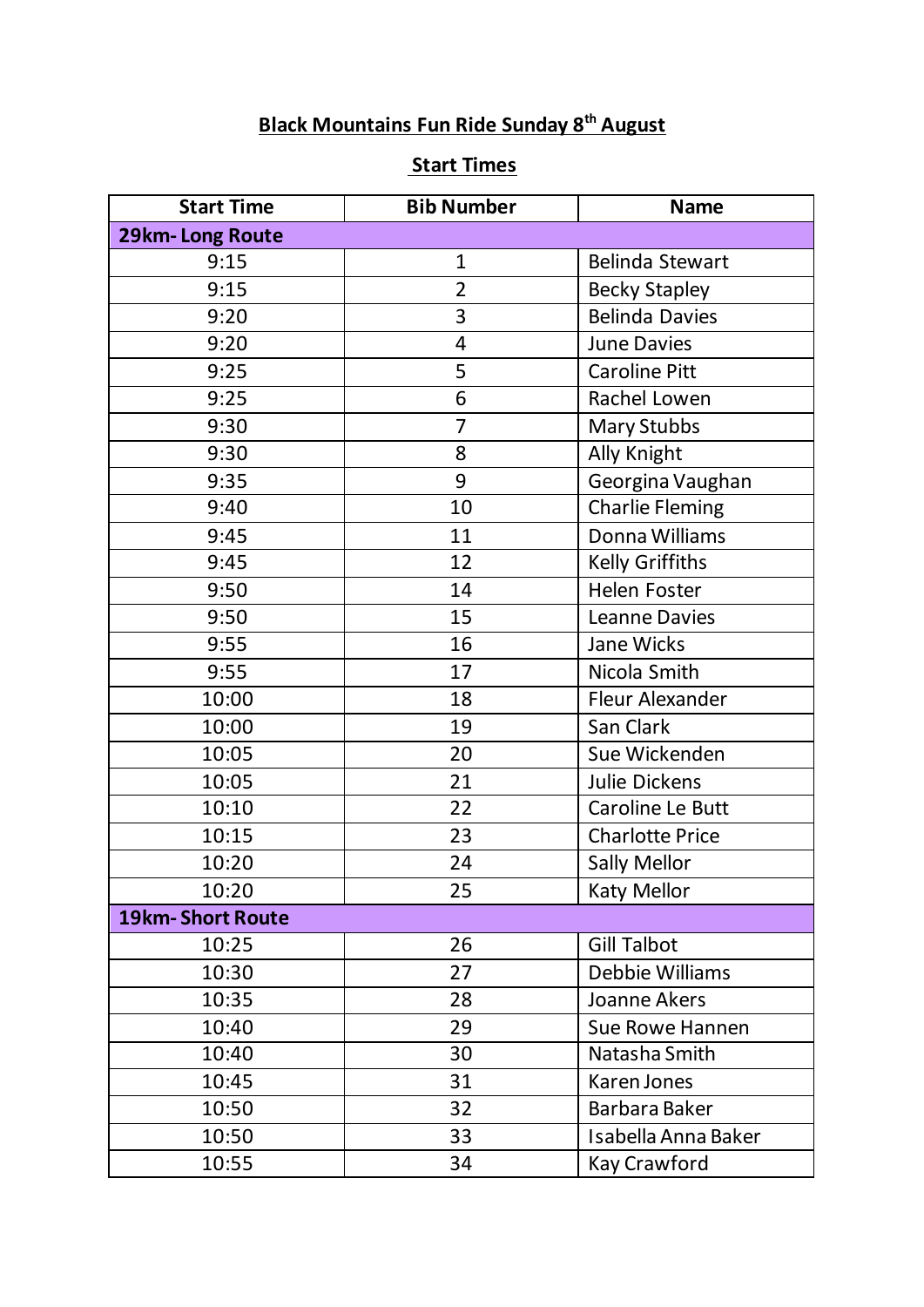## **Black Mountains Fun Ride Sunday 8th August**

## **Start Times**

| <b>Start Time</b>       | <b>Bib Number</b> | <b>Name</b>            |
|-------------------------|-------------------|------------------------|
| 29km-Long Route         |                   |                        |
| 9:15                    | $\mathbf{1}$      | Belinda Stewart        |
| 9:15                    | $\overline{2}$    | <b>Becky Stapley</b>   |
| 9:20                    | 3                 | <b>Belinda Davies</b>  |
| 9:20                    | 4                 | <b>June Davies</b>     |
| 9:25                    | 5                 | <b>Caroline Pitt</b>   |
| 9:25                    | 6                 | Rachel Lowen           |
| 9:30                    | 7                 | <b>Mary Stubbs</b>     |
| 9:30                    | 8                 | Ally Knight            |
| 9:35                    | 9                 | Georgina Vaughan       |
| 9:40                    | 10                | <b>Charlie Fleming</b> |
| 9:45                    | 11                | Donna Williams         |
| 9:45                    | 12                | Kelly Griffiths        |
| 9:50                    | 14                | Helen Foster           |
| 9:50                    | 15                | <b>Leanne Davies</b>   |
| 9:55                    | 16                | Jane Wicks             |
| 9:55                    | 17                | Nicola Smith           |
| 10:00                   | 18                | Fleur Alexander        |
| 10:00                   | 19                | San Clark              |
| 10:05                   | 20                | Sue Wickenden          |
| 10:05                   | 21                | Julie Dickens          |
| 10:10                   | 22                | Caroline Le Butt       |
| 10:15                   | 23                | <b>Charlotte Price</b> |
| 10:20                   | 24                | <b>Sally Mellor</b>    |
| 10:20                   | 25                | Katy Mellor            |
| <b>19km-Short Route</b> |                   |                        |
| 10:25                   | 26                | <b>Gill Talbot</b>     |
| 10:30                   | 27                | Debbie Williams        |
| 10:35                   | 28                | Joanne Akers           |
| 10:40                   | 29                | Sue Rowe Hannen        |
| 10:40                   | 30                | Natasha Smith          |
| 10:45                   | 31                | Karen Jones            |
| 10:50                   | 32                | Barbara Baker          |
| 10:50                   | 33                | Isabella Anna Baker    |
| 10:55                   | 34                | Kay Crawford           |